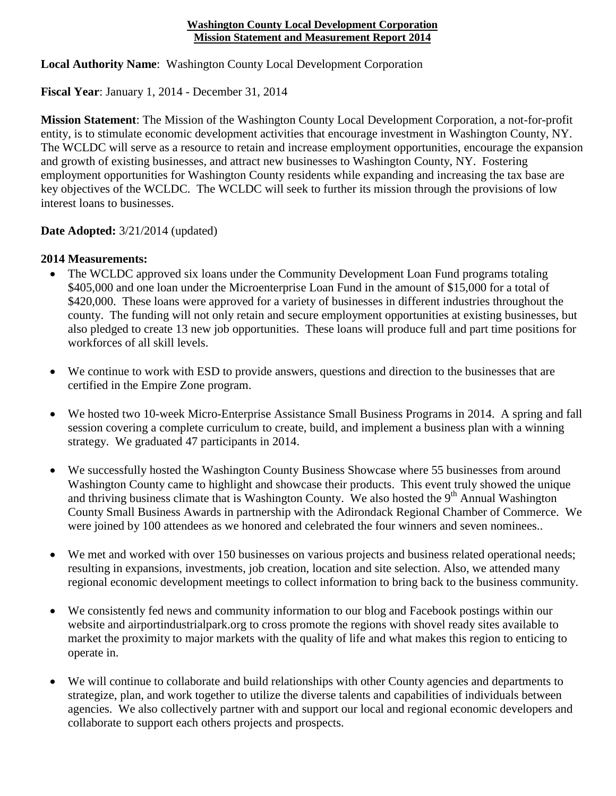## **Washington County Local Development Corporation Mission Statement and Measurement Report 2014**

**Local Authority Name**: Washington County Local Development Corporation

**Fiscal Year**: January 1, 2014 - December 31, 2014

**Mission Statement**: The Mission of the Washington County Local Development Corporation, a not-for-profit entity, is to stimulate economic development activities that encourage investment in Washington County, NY. The WCLDC will serve as a resource to retain and increase employment opportunities, encourage the expansion and growth of existing businesses, and attract new businesses to Washington County, NY. Fostering employment opportunities for Washington County residents while expanding and increasing the tax base are key objectives of the WCLDC. The WCLDC will seek to further its mission through the provisions of low interest loans to businesses.

## **Date Adopted:** 3/21/2014 (updated)

## **2014 Measurements:**

- The WCLDC approved six loans under the Community Development Loan Fund programs totaling \$405,000 and one loan under the Microenterprise Loan Fund in the amount of \$15,000 for a total of \$420,000. These loans were approved for a variety of businesses in different industries throughout the county. The funding will not only retain and secure employment opportunities at existing businesses, but also pledged to create 13 new job opportunities. These loans will produce full and part time positions for workforces of all skill levels.
- We continue to work with ESD to provide answers, questions and direction to the businesses that are certified in the Empire Zone program.
- We hosted two 10-week Micro-Enterprise Assistance Small Business Programs in 2014. A spring and fall session covering a complete curriculum to create, build, and implement a business plan with a winning strategy. We graduated 47 participants in 2014.
- We successfully hosted the Washington County Business Showcase where 55 businesses from around Washington County came to highlight and showcase their products. This event truly showed the unique and thriving business climate that is Washington County. We also hosted the 9<sup>th</sup> Annual Washington County Small Business Awards in partnership with the Adirondack Regional Chamber of Commerce. We were joined by 100 attendees as we honored and celebrated the four winners and seven nominees..
- We met and worked with over 150 businesses on various projects and business related operational needs; resulting in expansions, investments, job creation, location and site selection. Also, we attended many regional economic development meetings to collect information to bring back to the business community.
- We consistently fed news and community information to our blog and Facebook postings within our website and airportindustrialpark.org to cross promote the regions with shovel ready sites available to market the proximity to major markets with the quality of life and what makes this region to enticing to operate in.
- We will continue to collaborate and build relationships with other County agencies and departments to strategize, plan, and work together to utilize the diverse talents and capabilities of individuals between agencies. We also collectively partner with and support our local and regional economic developers and collaborate to support each others projects and prospects.